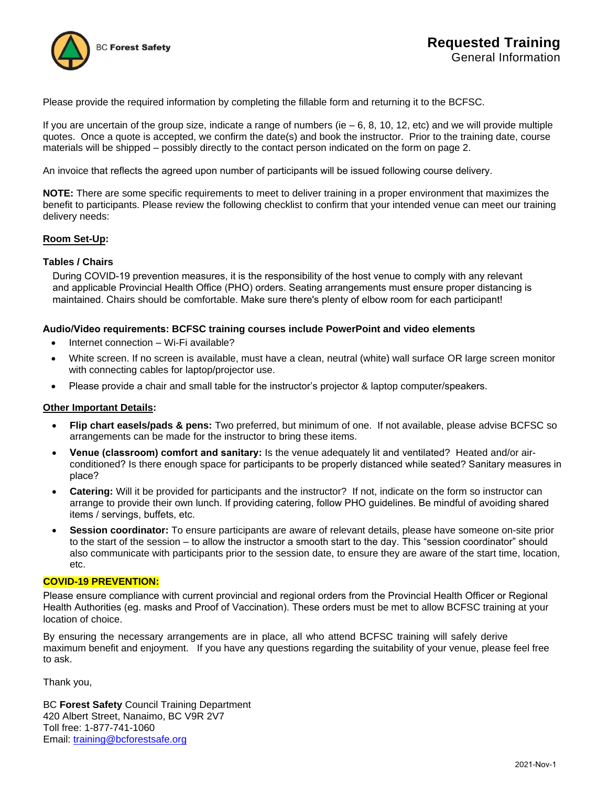

Please provide the required information by completing the fillable form and returning it to the BCFSC.

If you are uncertain of the group size, indicate a range of numbers (ie  $-6$ , 8, 10, 12, etc) and we will provide multiple quotes. Once a quote is accepted, we confirm the date(s) and book the instructor. Prior to the training date, course materials will be shipped – possibly directly to the contact person indicated on the form on page 2.

An invoice that reflects the agreed upon number of participants will be issued following course delivery.

**NOTE:** There are some specific requirements to meet to deliver training in a proper environment that maximizes the benefit to participants. Please review the following checklist to confirm that your intended venue can meet our training delivery needs:

## **Room Set-Up:**

## **Tables / Chairs**

During COVID-19 prevention measures, it is the responsibility of the host venue to comply with any relevant and applicable Provincial Health Office (PHO) orders. Seating arrangements must ensure proper distancing is maintained. Chairs should be comfortable. Make sure there's plenty of elbow room for each participant!

#### **Audio/Video requirements: BCFSC training courses include PowerPoint and video elements**

- Internet connection Wi-Fi available?
- White screen. If no screen is available, must have a clean, neutral (white) wall surface OR large screen monitor with connecting cables for laptop/projector use.
- Please provide a chair and small table for the instructor's projector & laptop computer/speakers.

## **Other Important Details:**

- **Flip chart easels/pads & pens:** Two preferred, but minimum of one. If not available, please advise BCFSC so arrangements can be made for the instructor to bring these items.
- **Venue (classroom) comfort and sanitary:** Is the venue adequately lit and ventilated? Heated and/or airconditioned? Is there enough space for participants to be properly distanced while seated? Sanitary measures in place?
- **Catering:** Will it be provided for participants and the instructor? If not, indicate on the form so instructor can arrange to provide their own lunch. If providing catering, follow PHO guidelines. Be mindful of avoiding shared items / servings, buffets, etc.
- **Session coordinator:** To ensure participants are aware of relevant details, please have someone on-site prior to the start of the session – to allow the instructor a smooth start to the day. This "session coordinator" should also communicate with participants prior to the session date, to ensure they are aware of the start time, location, etc.

#### **COVID-19 PREVENTION:**

Please ensure compliance with current provincial and regional orders from the Provincial Health Officer or Regional Health Authorities (eg. masks and Proof of Vaccination). These orders must be met to allow BCFSC training at your location of choice.

By ensuring the necessary arrangements are in place, all who attend BCFSC training will safely derive maximum benefit and enjoyment. If you have any questions regarding the suitability of your venue, please feel free to ask.

Thank you,

BC **Forest Safety** Council Training Department 420 Albert Street, Nanaimo, BC V9R 2V7 Toll free: 1-877-741-1060 Email: [training@bcforestsafe.org](mailto:training@bcforestsafe.org)